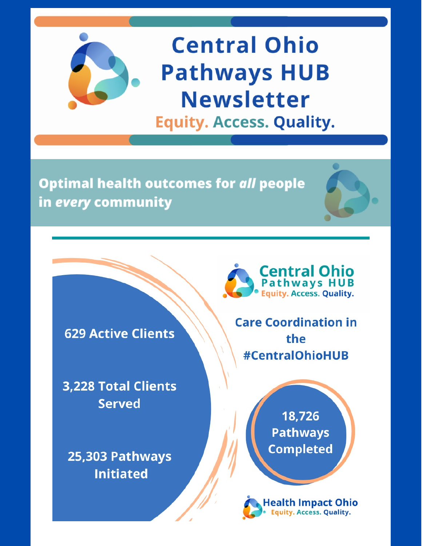

# **Central Ohio Pathways HUB Newsletter Equity. Access. Quality.**

**Optimal health outcomes for all people** in every community

**629 Active Clients** 

**3,228 Total Clients Served** 

25,303 Pathways **Initiated** 



**Care Coordination in** the **#CentralOhioHUB** 

> 18,726 **Pathways Completed**

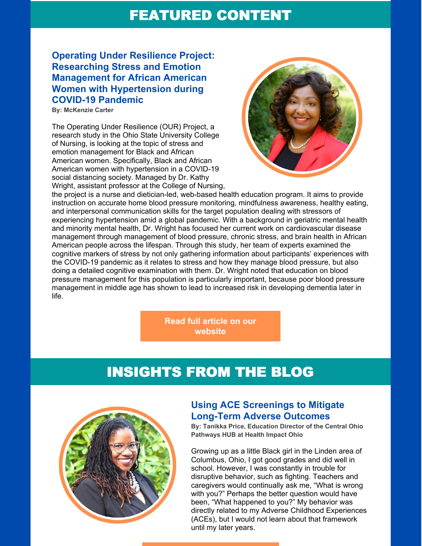### FEATURED CONTENT

### **Operating Under Resilience Project: Researching Stress and Emotion Management for African American Women with Hypertension during COVID-19 Pandemic**

**By: McKenzie Carter**

The Operating Under Resilience (OUR) Project, a research study in the Ohio State University College of Nursing, is looking at the topic of stress and emotion management for Black and African American women. Specifically, Black and African American women with hypertension in a COVID-19 social distancing society. Managed by Dr. Kathy Wright, assistant professor at the College of Nursing,



the project is a nurse and dietician-led, web-based health education program. It aims to provide instruction on accurate home blood pressure monitoring, mindfulness awareness, healthy eating, and interpersonal communication skills for the target population dealing with stressors of experiencing hypertension amid a global pandemic. With a background in geriatric mental health and minority mental health, Dr. Wright has focused her current work on cardiovascular disease management through management of blood pressure, chronic stress, and brain health in African American people across the lifespan. Through this study, her team of experts examined the cognitive markers of stress by not only gathering information about participants' experiences with the COVID-19 pandemic as it relates to stress and how they manage blood pressure, but also doing a detailed cognitive examination with them. Dr. Wright noted that education on blood pressure management for this population is particularly important, because poor blood pressure management in middle age has shown to lead to increased risk in developing dementia later in life.

> **Read full article on our [website](http://www.hcgc.org/uploads/1/0/2/7/102711164/featured_article.pdf)**

# INSIGHTS FROM THE BLOG



### **Using ACE Screenings to Mitigate Long-Term Adverse Outcomes**

**By: Tanikka Price, Education Director of the Central Ohio Pathways HUB at Health Impact Ohio**

Growing up as a little Black girl in the Linden area of Columbus, Ohio, I got good grades and did well in school. However, I was constantly in trouble for disruptive behavior, such as fighting. Teachers and caregivers would continually ask me, "What is wrong with you?" Perhaps the better question would have been, "What happened to you?" My behavior was directly related to my Adverse Childhood Experiences (ACEs), but I would not learn about that framework until my later years.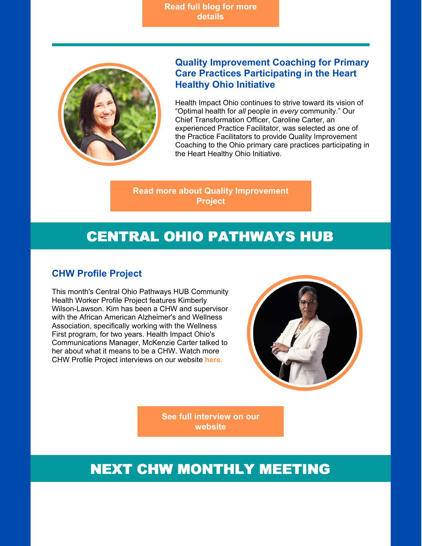**Read full blog for more [details](http://www.hcgc.org/hcgc-blog/adverse-childhood-experiences)**



### **Quality Improvement Coaching for Primary Care Practices Participating in the Heart Healthy Ohio Initiative**

Health Impact Ohio continues to strive toward its vision of "Optimal health for *all* people in *every* community." Our Chief Transformation Officer, Caroline Carter, an experienced Practice Facilitator, was selected as one of the Practice Facilitators to provide Quality Improvement Coaching to the Ohio primary care practices participating in the Heart Healthy Ohio Initiative.

#### **Read more about Quality [Improvement](http://www.hcgc.org/uploads/1/0/2/7/102711164/caroline.pdf) Project**

# CENTRAL OHIO PATHWAYS HUB

### **CHW Profile Project**

This month's Central Ohio Pathways HUB Community Health Worker Profile Project features Kimberly Wilson-Lawson. Kim has been a CHW and supervisor with the African American Alzheimer's and Wellness Association, specifically working with the Wellness First program, for two years. Health Impact Ohio's Communications Manager, McKenzie Carter talked to her about what it means to be a CHW. Watch more CHW Profile Project interviews on our website **[here.](http://www.hcgc.org/central-ohio-pathways-hub.html)**



**See full [interview](http://www.hcgc.org/uploads/1/0/2/7/102711164/chw_profile_project.pdf) on our website**

## NEXT CHW MONTHLY MEETING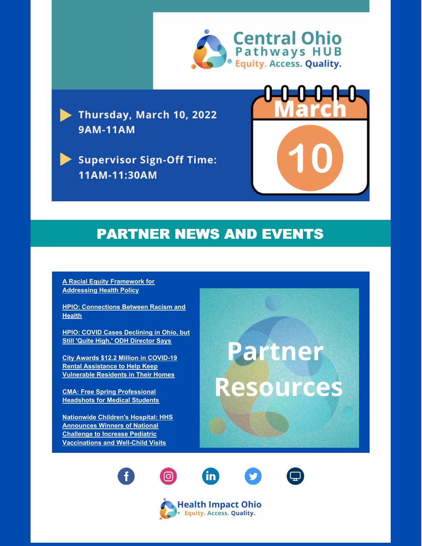

Thursday, March 10, 2022 **9AM-11AM** 

**Supervisor Sign-Off Time:** 11AM-11:30AM



# PARTNER NEWS AND EVENTS

**A Racial Equity Framework for [Addressing](https://www.commonwealthfund.org/publications/issue-briefs/2022/jan/racial-equity-framework-assessing-health-policy?mc_cid=b134be9c3c&mc_eid=c6edf8d4a9) Health Policy**

**HPIO: [Connections](https://www.healthpolicyohio.org/connections-between-racism-and-health-individuals-and-community-groups/) Between Racism and Health**

**HPIO: COVID Cases [Declining](https://www.healthpolicynews.org/daily_review/2022/02/covid-cases-declining-in-ohio-but-still-quite-high-odh-director-says.html) in Ohio, but Still 'Quite High,' ODH Director Says**

**City Awards \$12.2 Million in COVID-19 Rental [Assistance](https://www.columbus.gov/Templates/Detail.aspx?id=2147521465) to Help Keep Vulnerable Residents in Their Homes**

**CMA: Free Spring [Professional](https://www.columbusmedicalassociation.org/events/event-description?CalendarEventKey=cf971b2f-020c-42c8-bed3-896bea6cda38&CommunityKey=5172f932-0a20-4de3-98c5-470291bd087d&Home=%2Fcommunity-home) Headshots for Medical Students**

**Nationwide Children's Hospital: HHS Announces Winners of National Challenge to Increase Pediatric [Vaccinations](https://www.hhs.gov/about/news/2022/02/10/hhs-announces-winners-national-challenge-increase-pediatric-vaccinations-well-child-visits.html?utm_campaign=enews20220217&utm_medium=email&utm_source=govdelivery) and Well-Child Visits**

**Partner Resources**